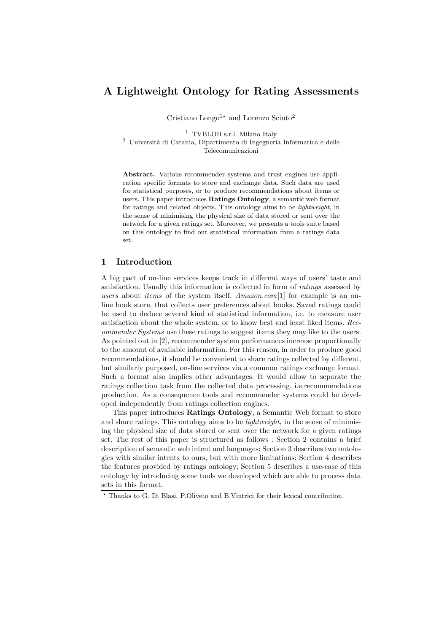# A Lightweight Ontology for Rating Assessments

Cristiano Longo<sup>1</sup><sup>\*</sup> and Lorenzo Sciuto<sup>2</sup>

<sup>1</sup> TVBLOB s.r.l. Milano Italy  $^2\,$ Università di Catania, Dipartimento di Ingegneria Informatica e delle

Telecomunicazioni

Abstract. Various recommender systems and trust engines use application specific formats to store and exchange data. Such data are used for statistical purposes, or to produce recommendations about items or users. This paper introduces Ratings Ontology, a semantic web format for ratings and related objects. This ontology aims to be lightweight, in the sense of minimising the physical size of data stored or sent over the network for a given ratings set. Moreover, we presents a tools suite based on this ontology to find out statistical information from a ratings data set.

## 1 Introduction

A big part of on-line services keeps track in different ways of users' taste and satisfaction. Usually this information is collected in form of *ratings* assessed by users about *items* of the system itself. Amazon.com[1] for example is an online book store, that collects user preferences about books. Saved ratings could be used to deduce several kind of statistical information, i.e. to measure user satisfaction about the whole system, or to know best and least liked items. Recommender Systems use these ratings to suggest items they may like to the users. As pointed out in [2], recommender system performances increase proportionally to the amount of available information. For this reason, in order to produce good recommendations, it should be convenient to share ratings collected by different, but similarly purposed, on-line services via a common ratings exchange format. Such a format also implies other advantages. It would allow to separate the ratings collection task from the collected data processing, i.e.recommendations production. As a consequence tools and recommender systems could be developed independently from ratings collection engines.

This paper introduces Ratings Ontology, a Semantic Web format to store and share ratings. This ontology aims to be *lightweight*, in the sense of minimising the physical size of data stored or sent over the network for a given ratings set. The rest of this paper is structured as follows : Section 2 contains a brief description of semantic web intent and languages; Section 3 describes two ontologies with similar intents to ours, but with more limitations; Section 4 describes the features provided by ratings ontology; Section 5 describes a use-case of this ontology by introducing some tools we developed which are able to process data sets in this format.

<sup>⋆</sup> Thanks to G. Di Blasi, P.Oliveto and B.Vintrici for their lexical contribution.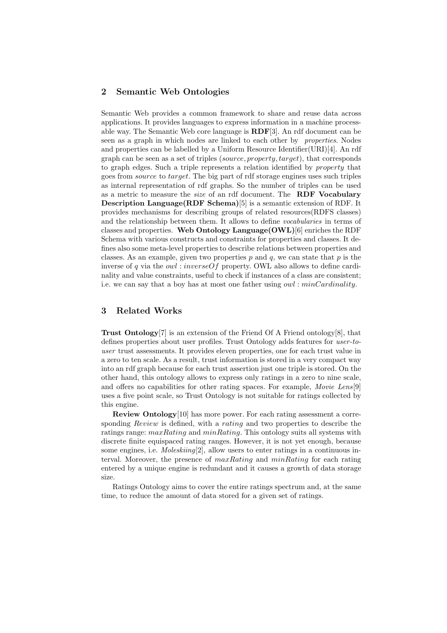## 2 Semantic Web Ontologies

Semantic Web provides a common framework to share and reuse data across applications. It provides languages to express information in a machine processable way. The Semantic Web core language is RDF[3]. An rdf document can be seen as a graph in which nodes are linked to each other by properties. Nodes and properties can be labelled by a Uniform Resource Identifier  $(URI)[4]$ . An rdf graph can be seen as a set of triples (source, property, target), that corresponds to graph edges. Such a triple represents a relation identified by property that goes from source to target. The big part of rdf storage engines uses such triples as internal representation of rdf graphs. So the number of triples can be used as a metric to measure the *size* of an rdf document. The **RDF Vocabulary** Description Language(RDF Schema)[5] is a semantic extension of RDF. It provides mechanisms for describing groups of related resources(RDFS classes) and the relationship between them. It allows to define vocabularies in terms of classes and properties. Web Ontology Language  $(OWL)[6]$  enriches the RDF Schema with various constructs and constraints for properties and classes. It defines also some meta-level properties to describe relations between properties and classes. As an example, given two properties p and q, we can state that p is the inverse of q via the  $owl:inverseOf$  property. OWL also allows to define cardinality and value constraints, useful to check if instances of a class are consistent; i.e. we can say that a boy has at most one father using  $\alpha w_l$ :  $\dot{minCardinality}$ .

## 3 Related Works

Trust Ontology[7] is an extension of the Friend Of A Friend ontology[8], that defines properties about user profiles. Trust Ontology adds features for user-touser trust assessments. It provides eleven properties, one for each trust value in a zero to ten scale. As a result, trust information is stored in a very compact way into an rdf graph because for each trust assertion just one triple is stored. On the other hand, this ontology allows to express only ratings in a zero to nine scale, and offers no capabilities for other rating spaces. For example, *Movie Lens*[9] uses a five point scale, so Trust Ontology is not suitable for ratings collected by this engine.

Review Ontology[10] has more power. For each rating assessment a corresponding Review is defined, with a rating and two properties to describe the ratings range:  $maxRating$  and  $minRating$ . This ontology suits all systems with discrete finite equispaced rating ranges. However, it is not yet enough, because some engines, i.e.  $Molesking[2]$ , allow users to enter ratings in a continuous interval. Moreover, the presence of  $maxRating$  and  $minRating$  for each rating entered by a unique engine is redundant and it causes a growth of data storage size.

Ratings Ontology aims to cover the entire ratings spectrum and, at the same time, to reduce the amount of data stored for a given set of ratings.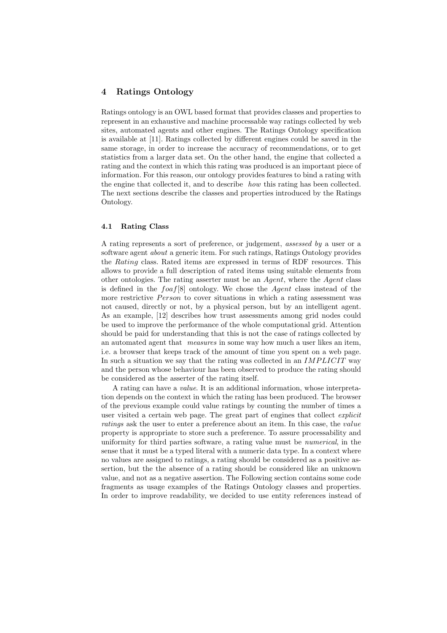## 4 Ratings Ontology

Ratings ontology is an OWL based format that provides classes and properties to represent in an exhaustive and machine processable way ratings collected by web sites, automated agents and other engines. The Ratings Ontology specification is available at [11]. Ratings collected by different engines could be saved in the same storage, in order to increase the accuracy of recommendations, or to get statistics from a larger data set. On the other hand, the engine that collected a rating and the context in which this rating was produced is an important piece of information. For this reason, our ontology provides features to bind a rating with the engine that collected it, and to describe how this rating has been collected. The next sections describe the classes and properties introduced by the Ratings Ontology.

#### 4.1 Rating Class

A rating represents a sort of preference, or judgement, assessed by a user or a software agent *about* a generic item. For such ratings, Ratings Ontology provides the Rating class. Rated items are expressed in terms of RDF resources. This allows to provide a full description of rated items using suitable elements from other ontologies. The rating asserter must be an Agent, where the Agent class is defined in the  $foaf[8]$  ontology. We chose the Agent class instead of the more restrictive *Person* to cover situations in which a rating assessment was not caused, directly or not, by a physical person, but by an intelligent agent. As an example, [12] describes how trust assessments among grid nodes could be used to improve the performance of the whole computational grid. Attention should be paid for understanding that this is not the case of ratings collected by an automated agent that measures in some way how much a user likes an item, i.e. a browser that keeps track of the amount of time you spent on a web page. In such a situation we say that the rating was collected in an  $IMPLICIT$  way and the person whose behaviour has been observed to produce the rating should be considered as the asserter of the rating itself.

A rating can have a value. It is an additional information, whose interpretation depends on the context in which the rating has been produced. The browser of the previous example could value ratings by counting the number of times a user visited a certain web page. The great part of engines that collect *explicit* ratings ask the user to enter a preference about an item. In this case, the *value* property is appropriate to store such a preference. To assure processability and uniformity for third parties software, a rating value must be numerical, in the sense that it must be a typed literal with a numeric data type. In a context where no values are assigned to ratings, a rating should be considered as a positive assertion, but the the absence of a rating should be considered like an unknown value, and not as a negative assertion. The Following section contains some code fragments as usage examples of the Ratings Ontology classes and properties. In order to improve readability, we decided to use entity references instead of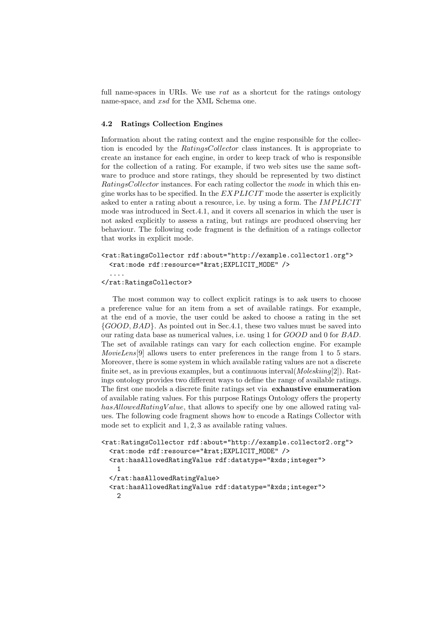full name-spaces in URIs. We use  $rat$  as a shortcut for the ratings ontology name-space, and xsd for the XML Schema one.

#### 4.2 Ratings Collection Engines

Information about the rating context and the engine responsible for the collection is encoded by the RatingsCollector class instances. It is appropriate to create an instance for each engine, in order to keep track of who is responsible for the collection of a rating. For example, if two web sites use the same software to produce and store ratings, they should be represented by two distinct RatingsCollector instances. For each rating collector the mode in which this engine works has to be specified. In the  $EXPLICT$  mode the asserter is explicitly asked to enter a rating about a resource, i.e. by using a form. The IMPLICIT mode was introduced in Sect.4.1, and it covers all scenarios in which the user is not asked explicitly to assess a rating, but ratings are produced observing her behaviour. The following code fragment is the definition of a ratings collector that works in explicit mode.

```
<rat:RatingsCollector rdf:about="http://example.collector1.org">
 <rat:mode rdf:resource="&rat;EXPLICIT_MODE" />
```

```
</rat:RatingsCollector>
```
....

The most common way to collect explicit ratings is to ask users to choose a preference value for an item from a set of available ratings. For example, at the end of a movie, the user could be asked to choose a rating in the set  $\{GOOD, BAD\}$ . As pointed out in Sec.4.1, these two values must be saved into our rating data base as numerical values, i.e. using 1 for GOOD and 0 for BAD. The set of available ratings can vary for each collection engine. For example MovieLens[9] allows users to enter preferences in the range from 1 to 5 stars. Moreover, there is some system in which available rating values are not a discrete finite set, as in previous examples, but a continuous interval  $(Molesking[2])$ . Ratings ontology provides two different ways to define the range of available ratings. The first one models a discrete finite ratings set via exhaustive enumeration of available rating values. For this purpose Ratings Ontology offers the property  $hasAllowedRatingValue$ , that allows to specify one by one allowed rating values. The following code fragment shows how to encode a Ratings Collector with mode set to explicit and 1, 2, 3 as available rating values.

```
<rat:RatingsCollector rdf:about="http://example.collector2.org">
  <rat:mode rdf:resource="&rat;EXPLICIT_MODE" />
  <rat:hasAllowedRatingValue rdf:datatype="&xds;integer">
    1
 </rat:hasAllowedRatingValue>
  <rat:hasAllowedRatingValue rdf:datatype="&xds;integer">
    \mathcal{D}
```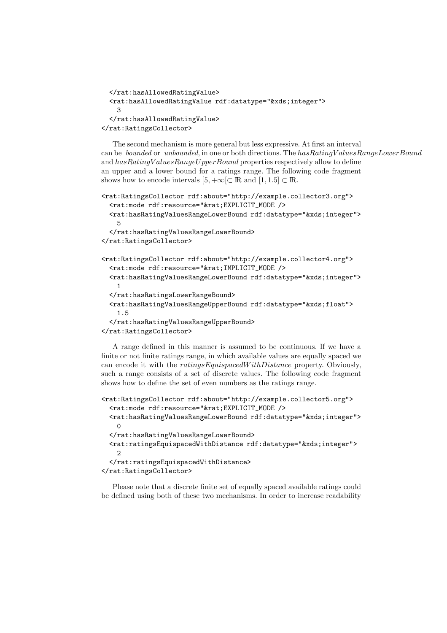```
</rat:hasAllowedRatingValue>
 <rat:hasAllowedRatingValue rdf:datatype="&xds;integer">
    3
 </rat:hasAllowedRatingValue>
</rat:RatingsCollector>
```
The second mechanism is more general but less expressive. At first an interval can be bounded or unbounded, in one or both directions. The hasRatingValuesRangeLowerBound and hasRatingV aluesRangeU pperBound properties respectively allow to define an upper and a lower bound for a ratings range. The following code fragment shows how to encode intervals  $[5, +\infty)$   $\subset \mathbb{R}$  and  $[1, 1.5]$   $\subset \mathbb{R}$ .

```
<rat:RatingsCollector rdf:about="http://example.collector3.org">
 <rat:mode rdf:resource="&rat;EXPLICIT_MODE />
 <rat:hasRatingValuesRangeLowerBound rdf:datatype="&xds;integer">
   5
  </rat:hasRatingValuesRangeLowerBound>
</rat:RatingsCollector>
<rat:RatingsCollector rdf:about="http://example.collector4.org">
 <rat:mode rdf:resource="&rat;IMPLICIT_MODE />
 <rat:hasRatingValuesRangeLowerBound rdf:datatype="&xds;integer">
    1
 </rat:hasRatingsLowerRangeBound>
 <rat:hasRatingValuesRangeUpperBound rdf:datatype="&xds;float">
    1.5
```

```
</rat:hasRatingValuesRangeUpperBound>
</rat:RatingsCollector>
```
A range defined in this manner is assumed to be continuous. If we have a finite or not finite ratings range, in which available values are equally spaced we can encode it with the  $ratingsEquispacedWithDistance$  property. Obviously, such a range consists of a set of discrete values. The following code fragment shows how to define the set of even numbers as the ratings range.

```
<rat:RatingsCollector rdf:about="http://example.collector5.org">
 <rat:mode rdf:resource="&rat;EXPLICIT_MODE />
 <rat:hasRatingValuesRangeLowerBound rdf:datatype="&xds;integer">
   \Omega</rat:hasRatingValuesRangeLowerBound>
 <rat:ratingsEquispacedWithDistance rdf:datatype="&xds;integer">
   \mathcal{D}</rat:ratingsEquispacedWithDistance>
</rat:RatingsCollector>
```
Please note that a discrete finite set of equally spaced available ratings could be defined using both of these two mechanisms. In order to increase readability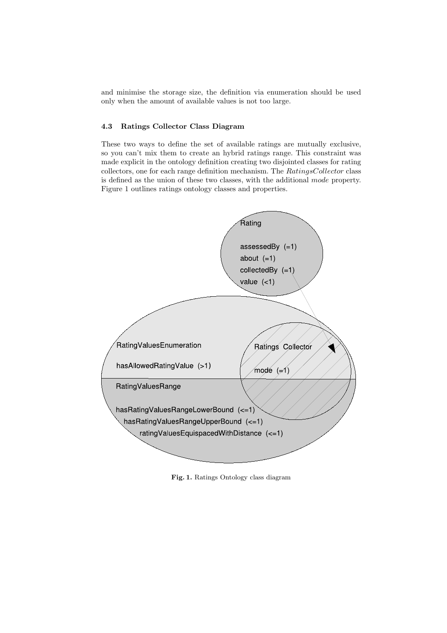and minimise the storage size, the definition via enumeration should be used only when the amount of available values is not too large.

## 4.3 Ratings Collector Class Diagram

These two ways to define the set of available ratings are mutually exclusive, so you can't mix them to create an hybrid ratings range. This constraint was made explicit in the ontology definition creating two disjointed classes for rating collectors, one for each range definition mechanism. The RatingsCollector class is defined as the union of these two classes, with the additional mode property. Figure 1 outlines ratings ontology classes and properties.



Fig. 1. Ratings Ontology class diagram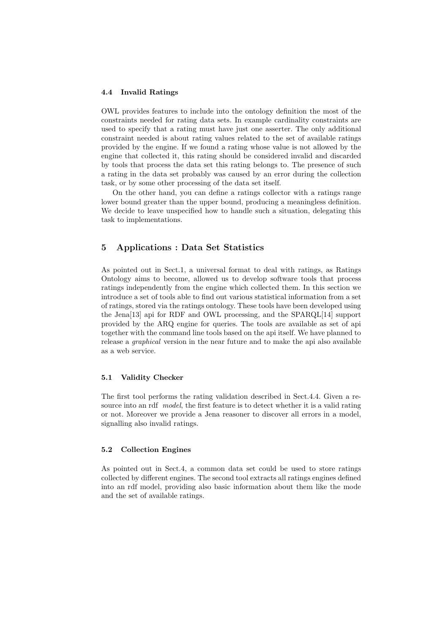#### 4.4 Invalid Ratings

OWL provides features to include into the ontology definition the most of the constraints needed for rating data sets. In example cardinality constraints are used to specify that a rating must have just one asserter. The only additional constraint needed is about rating values related to the set of available ratings provided by the engine. If we found a rating whose value is not allowed by the engine that collected it, this rating should be considered invalid and discarded by tools that process the data set this rating belongs to. The presence of such a rating in the data set probably was caused by an error during the collection task, or by some other processing of the data set itself.

On the other hand, you can define a ratings collector with a ratings range lower bound greater than the upper bound, producing a meaningless definition. We decide to leave unspecified how to handle such a situation, delegating this task to implementations.

## 5 Applications : Data Set Statistics

As pointed out in Sect.1, a universal format to deal with ratings, as Ratings Ontology aims to become, allowed us to develop software tools that process ratings independently from the engine which collected them. In this section we introduce a set of tools able to find out various statistical information from a set of ratings, stored via the ratings ontology. These tools have been developed using the Jena[13] api for RDF and OWL processing, and the SPARQL[14] support provided by the ARQ engine for queries. The tools are available as set of api together with the command line tools based on the api itself. We have planned to release a graphical version in the near future and to make the api also available as a web service.

#### 5.1 Validity Checker

The first tool performs the rating validation described in Sect.4.4. Given a resource into an rdf model, the first feature is to detect whether it is a valid rating or not. Moreover we provide a Jena reasoner to discover all errors in a model, signalling also invalid ratings.

#### 5.2 Collection Engines

As pointed out in Sect.4, a common data set could be used to store ratings collected by different engines. The second tool extracts all ratings engines defined into an rdf model, providing also basic information about them like the mode and the set of available ratings.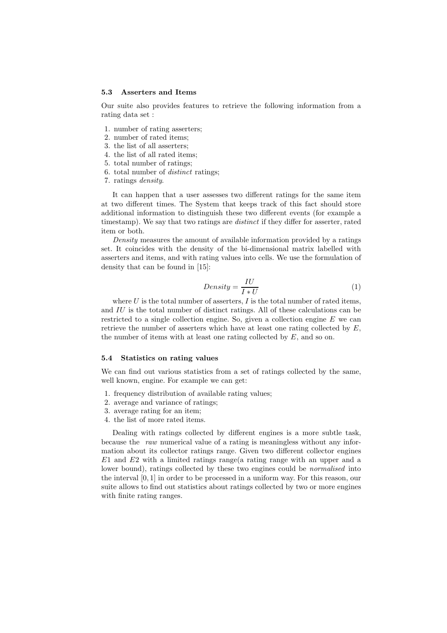#### 5.3 Asserters and Items

Our suite also provides features to retrieve the following information from a rating data set :

- 1. number of rating asserters;
- 2. number of rated items;
- 3. the list of all asserters;
- 4. the list of all rated items;
- 5. total number of ratings;
- 6. total number of distinct ratings;
- 7. ratings density.

It can happen that a user assesses two different ratings for the same item at two different times. The System that keeps track of this fact should store additional information to distinguish these two different events (for example a timestamp). We say that two ratings are *distinct* if they differ for asserter, rated item or both.

Density measures the amount of available information provided by a ratings set. It coincides with the density of the bi-dimensional matrix labelled with asserters and items, and with rating values into cells. We use the formulation of density that can be found in [15]:

$$
Density = \frac{IU}{I * U} \tag{1}
$$

where  $U$  is the total number of asserters,  $I$  is the total number of rated items, and IU is the total number of distinct ratings. All of these calculations can be restricted to a single collection engine. So, given a collection engine  $E$  we can retrieve the number of asserters which have at least one rating collected by  $E$ , the number of items with at least one rating collected by  $E$ , and so on.

#### 5.4 Statistics on rating values

We can find out various statistics from a set of ratings collected by the same, well known, engine. For example we can get:

- 1. frequency distribution of available rating values;
- 2. average and variance of ratings;
- 3. average rating for an item;
- 4. the list of more rated items.

Dealing with ratings collected by different engines is a more subtle task, because the raw numerical value of a rating is meaningless without any information about its collector ratings range. Given two different collector engines  $E1$  and  $E2$  with a limited ratings range(a rating range with an upper and a lower bound), ratings collected by these two engines could be *normalised* into the interval [0, 1] in order to be processed in a uniform way. For this reason, our suite allows to find out statistics about ratings collected by two or more engines with finite rating ranges.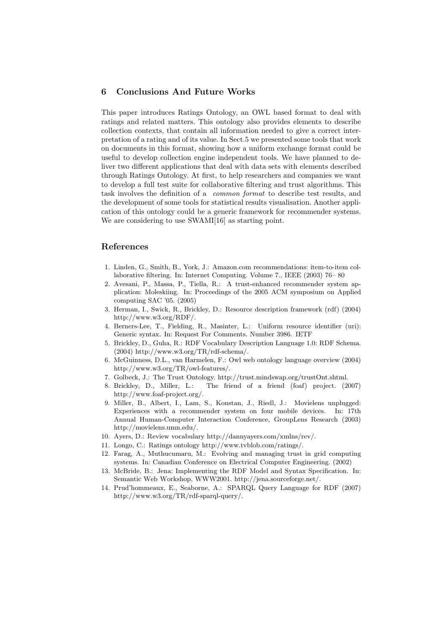## 6 Conclusions And Future Works

This paper introduces Ratings Ontology, an OWL based format to deal with ratings and related matters. This ontology also provides elements to describe collection contexts, that contain all information needed to give a correct interpretation of a rating and of its value. In Sect.5 we presented some tools that work on documents in this format, showing how a uniform exchange format could be useful to develop collection engine independent tools. We have planned to deliver two different applications that deal with data sets with elements described through Ratings Ontology. At first, to help researchers and companies we want to develop a full test suite for collaborative filtering and trust algorithms. This task involves the definition of a common format to describe test results, and the development of some tools for statistical results visualisation. Another application of this ontology could be a generic framework for recommender systems. We are considering to use SWAMI[16] as starting point.

## References

- 1. Linden, G., Smith, B., York, J.: Amazon.com recommendations: item-to-item collaborative filtering. In: Internet Computing. Volume 7., IEEE (2003) 76– 80
- 2. Avesani, P., Massa, P., Tiella, R.: A trust-enhanced recommender system application: Moleskiing. In: Proceedings of the 2005 ACM symposium on Applied computing SAC '05. (2005)
- 3. Herman, I., Swick, R., Brickley, D.: Resource description framework (rdf) (2004) http://www.w3.org/RDF/.
- 4. Berners-Lee, T., Fielding, R., Masinter, L.: Uniform resource identifier (uri): Generic syntax. In: Request For Comments. Number 3986. IETF
- 5. Brickley, D., Guha, R.: RDF Vocabulary Description Language 1.0: RDF Schema. (2004) http://www.w3.org/TR/rdf-schema/.
- 6. McGuinness, D.L., van Harmelen, F.: Owl web ontology language overview (2004) http://www.w3.org/TR/owl-features/.
- 7. Golbeck, J.: The Trust Ontology. http://trust.mindswap.org/trustOnt.shtml.
- 8. Brickley, D., Miller, L.: The friend of a friend (foaf) project. (2007) http://www.foaf-project.org/.
- 9. Miller, B., Albert, I., Lam, S., Konstan, J., Riedl, J.: Movielens unplugged: Experiences with a recommender system on four mobile devices. In: 17th Annual Human-Computer Interaction Conference, GroupLens Research (2003) http://movielens.umn.edu/.
- 10. Ayers, D.: Review vocabulary http://dannyayers.com/xmlns/rev/.
- 11. Longo, C.: Ratings ontology http://www.tvblob.com/ratings/.
- 12. Farag, A., Muthucumaru, M.: Evolving and managing trust in grid computing systems. In: Canadian Conference on Electrical Computer Engineering. (2002)
- 13. McBride, B.: Jena: Implementing the RDF Model and Syntax Specification. In: Semantic Web Workshop, WWW2001. http://jena.sourceforge.net/.
- 14. Prud'hommeaux, E., Seaborne, A.: SPARQL Query Language for RDF (2007) http://www.w3.org/TR/rdf-sparql-query/.